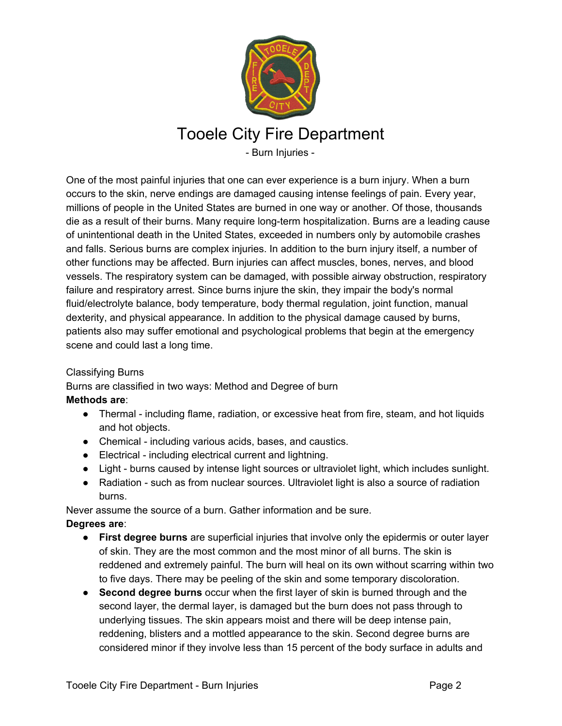

# Tooele City Fire Department

- Burn Injuries -

One of the most painful injuries that one can ever experience is a burn injury. When a burn occurs to the skin, nerve endings are damaged causing intense feelings of pain. Every year, millions of people in the United States are burned in one way or another. Of those, thousands die as a result of their burns. Many require long-term hospitalization. Burns are a leading cause of unintentional death in the United States, exceeded in numbers only by automobile crashes and falls. Serious burns are complex injuries. In addition to the burn injury itself, a number of other functions may be affected. Burn injuries can affect muscles, bones, nerves, and blood vessels. The respiratory system can be damaged, with possible airway obstruction, respiratory failure and respiratory arrest. Since burns injure the skin, they impair the body's normal fluid/electrolyte balance, body temperature, body thermal regulation, joint function, manual dexterity, and physical appearance. In addition to the physical damage caused by burns, patients also may suffer emotional and psychological problems that begin at the emergency scene and could last a long time.

### Classifying Burns

Burns are classified in two ways: Method and Degree of burn

### **Methods are**:

- Thermal including flame, radiation, or excessive heat from fire, steam, and hot liquids and hot objects.
- Chemical including various acids, bases, and caustics.
- Electrical including electrical current and lightning.
- Light burns caused by intense light sources or ultraviolet light, which includes sunlight.
- Radiation such as from nuclear sources. Ultraviolet light is also a source of radiation burns.

Never assume the source of a burn. Gather information and be sure.

### **Degrees are**:

- **First degree burns** are superficial injuries that involve only the epidermis or outer layer of skin. They are the most common and the most minor of all burns. The skin is reddened and extremely painful. The burn will heal on its own without scarring within two to five days. There may be peeling of the skin and some temporary discoloration.
- **Second degree burns** occur when the first layer of skin is burned through and the second layer, the dermal layer, is damaged but the burn does not pass through to underlying tissues. The skin appears moist and there will be deep intense pain, reddening, blisters and a mottled appearance to the skin. Second degree burns are considered minor if they involve less than 15 percent of the body surface in adults and